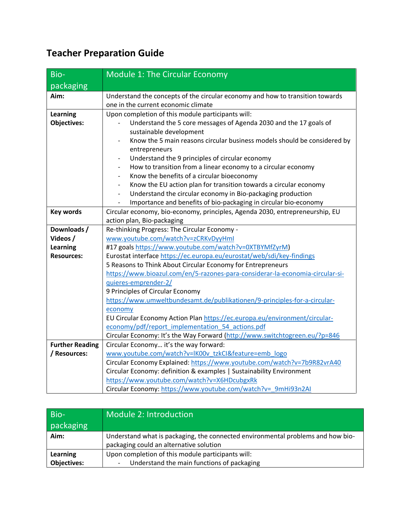## **Teacher Preparation Guide**

| Bio-                   | Module 1: The Circular Economy                                                                                                 |
|------------------------|--------------------------------------------------------------------------------------------------------------------------------|
| packaging              |                                                                                                                                |
| Aim:                   | Understand the concepts of the circular economy and how to transition towards<br>one in the current economic climate           |
| Learning               | Upon completion of this module participants will:                                                                              |
| <b>Objectives:</b>     | Understand the 5 core messages of Agenda 2030 and the 17 goals of<br>sustainable development                                   |
|                        | Know the 5 main reasons circular business models should be considered by<br>entrepreneurs                                      |
|                        | Understand the 9 principles of circular economy<br>$\overline{\phantom{a}}$                                                    |
|                        | How to transition from a linear economy to a circular economy<br>$\overline{\phantom{a}}$                                      |
|                        | Know the benefits of a circular bioeconomy<br>$\overline{\phantom{0}}$                                                         |
|                        | Know the EU action plan for transition towards a circular economy<br>$\overline{\phantom{a}}$                                  |
|                        | Understand the circular economy in Bio-packaging production<br>$\overline{\phantom{0}}$                                        |
|                        | Importance and benefits of bio-packaging in circular bio-economy                                                               |
| <b>Key words</b>       | Circular economy, bio-economy, principles, Agenda 2030, entrepreneurship, EU                                                   |
|                        | action plan, Bio-packaging                                                                                                     |
| Downloads /            | Re-thinking Progress: The Circular Economy -                                                                                   |
| Videos /               | www.youtube.com/watch?v=zCRKvDyyHml                                                                                            |
| Learning               | #17 goals https://www.youtube.com/watch?v=0XTBYMfZyrM)                                                                         |
| <b>Resources:</b>      | Eurostat interface https://ec.europa.eu/eurostat/web/sdi/key-findings                                                          |
|                        | 5 Reasons to Think About Circular Economy for Entrepreneurs                                                                    |
|                        | https://www.bioazul.com/en/5-razones-para-considerar-la-economia-circular-si-                                                  |
|                        | quieres-emprender-2/                                                                                                           |
|                        | 9 Principles of Circular Economy                                                                                               |
|                        | https://www.umweltbundesamt.de/publikationen/9-principles-for-a-circular-                                                      |
|                        | economy                                                                                                                        |
|                        | EU Circular Economy Action Plan https://ec.europa.eu/environment/circular-<br>economy/pdf/report implementation 54 actions.pdf |
|                        | Circular Economy: It's the Way Forward (http://www.switchtogreen.eu/?p=846                                                     |
| <b>Further Reading</b> | Circular Economy it's the way forward:                                                                                         |
| / Resources:           | www.youtube.com/watch?v=IK00v_tzkCI&feature=emb_logo                                                                           |
|                        | Circular Economy Explained: https://www.youtube.com/watch?v=7b9R82vrA40                                                        |
|                        | Circular Economy: definition & examples   Sustainability Environment                                                           |
|                        | https://www.youtube.com/watch?v=X6HDcubgxRk                                                                                    |
|                        | Circular Economy: https://www.youtube.com/watch?v=_9mHi93n2AI                                                                  |

| Bio-<br>packaging  | Module 2: Introduction                                                                                                     |
|--------------------|----------------------------------------------------------------------------------------------------------------------------|
| Aim:               | Understand what is packaging, the connected environmental problems and how bio-<br>packaging could an alternative solution |
| Learning           | Upon completion of this module participants will:                                                                          |
| <b>Objectives:</b> | Understand the main functions of packaging                                                                                 |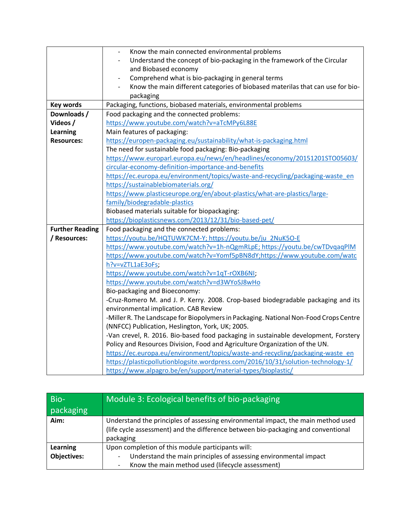|                        | Know the main connected environmental problems                                        |
|------------------------|---------------------------------------------------------------------------------------|
|                        | Understand the concept of bio-packaging in the framework of the Circular              |
|                        | and Biobased economy                                                                  |
|                        | Comprehend what is bio-packaging in general terms                                     |
|                        | Know the main different categories of biobased materilas that can use for bio-        |
|                        | packaging                                                                             |
| <b>Key words</b>       | Packaging, functions, biobased materials, environmental problems                      |
| Downloads /            | Food packaging and the connected problems:                                            |
| Videos /               | https://www.youtube.com/watch?v=aTcMPy6L88E                                           |
| Learning               | Main features of packaging:                                                           |
| <b>Resources:</b>      | https://europen-packaging.eu/sustainability/what-is-packaging.html                    |
|                        | The need for sustainable food packaging: Bio-packaging                                |
|                        | https://www.europarl.europa.eu/news/en/headlines/economy/20151201STO05603/            |
|                        | circular-economy-definition-importance-and-benefits                                   |
|                        | https://ec.europa.eu/environment/topics/waste-and-recycling/packaging-waste en        |
|                        | https://sustainablebiomaterials.org/                                                  |
|                        | https://www.plasticseurope.org/en/about-plastics/what-are-plastics/large-             |
|                        | family/biodegradable-plastics                                                         |
|                        | Biobased materials suitable for biopackaging:                                         |
|                        | https://bioplasticsnews.com/2013/12/31/bio-based-pet/                                 |
| <b>Further Reading</b> | Food packaging and the connected problems:                                            |
| / Resources:           | https://youtu.be/HQTUWK7CM-Y; https://youtu.be/ju_2NuK5O-E                            |
|                        | https://www.youtube.com/watch?v=1h-nQgmRLpE; https://youtu.be/cwTDvqaqPlM             |
|                        | https://www.youtube.com/watch?v=Yomf5pBN8dY;https://www.youtube.com/watc              |
|                        | h?v=vZTL1aE3oFs;                                                                      |
|                        | https://www.youtube.com/watch?v=1qT-rOXB6NI;                                          |
|                        | https://www.youtube.com/watch?v=d3WYoSJ8wHo                                           |
|                        | Bio-packaging and Bioeconomy:                                                         |
|                        | -Cruz-Romero M. and J. P. Kerry. 2008. Crop-based biodegradable packaging and its     |
|                        | environmental implication. CAB Review                                                 |
|                        | -Miller R. The Landscape for Biopolymers in Packaging. National Non-Food Crops Centre |
|                        | (NNFCC) Publication, Heslington, York, UK; 2005.                                      |
|                        | -Van crevel, R. 2016. Bio-based food packaging in sustainable development, Forstery   |
|                        | Policy and Resources Division, Food and Agriculture Organization of the UN.           |
|                        | https://ec.europa.eu/environment/topics/waste-and-recycling/packaging-waste_en        |
|                        | https://plasticpollutionblogsite.wordpress.com/2016/10/31/solution-technology-1/      |
|                        | https://www.alpagro.be/en/support/material-types/bioplastic/                          |

| Bio-               | Module 3: Ecological benefits of bio-packaging                                                                                                                                      |
|--------------------|-------------------------------------------------------------------------------------------------------------------------------------------------------------------------------------|
| packaging          |                                                                                                                                                                                     |
| Aim:               | Understand the principles of assessing environmental impact, the main method used<br>(life cycle assessment) and the difference between bio-packaging and conventional<br>packaging |
| Learning           | Upon completion of this module participants will:                                                                                                                                   |
| <b>Objectives:</b> | Understand the main principles of assessing environmental impact                                                                                                                    |
|                    | Know the main method used (lifecycle assessment)                                                                                                                                    |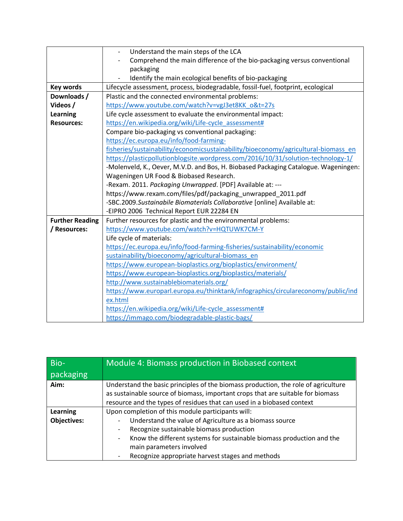|                        | Understand the main steps of the LCA                                                |
|------------------------|-------------------------------------------------------------------------------------|
|                        | Comprehend the main difference of the bio-packaging versus conventional             |
|                        | packaging                                                                           |
|                        | Identify the main ecological benefits of bio-packaging                              |
| Key words              | Lifecycle assessment, process, biodegradable, fossil-fuel, footprint, ecological    |
| Downloads /            | Plastic and the connected environmental problems:                                   |
| Videos /               | https://www.youtube.com/watch?v=vgJ3et8KK o&t=27s                                   |
| <b>Learning</b>        | Life cycle assessment to evaluate the environmental impact:                         |
| <b>Resources:</b>      | https://en.wikipedia.org/wiki/Life-cycle assessment#                                |
|                        | Compare bio-packaging vs conventional packaging:                                    |
|                        | https://ec.europa.eu/info/food-farming-                                             |
|                        | fisheries/sustainability/economicsustainability/bioeconomy/agricultural-biomass en  |
|                        | https://plasticpollutionblogsite.wordpress.com/2016/10/31/solution-technology-1/    |
|                        | -Molenveld, K., Oever, M.V.D. and Bos, H. Biobased Packaging Catalogue. Wageningen: |
|                        | Wageningen UR Food & Biobased Research.                                             |
|                        | -Rexam. 2011. Packaging Unwrapped. [PDF] Available at: ---                          |
|                        | https://www.rexam.com/files/pdf/packaging_unwrapped_2011.pdf                        |
|                        | -SBC.2009.Sustainabile Biomaterials Collaborative [online] Available at:            |
|                        | -EIPRO 2006 Technical Report EUR 22284 EN                                           |
| <b>Further Reading</b> | Further resources for plastic and the environmental problems:                       |
| / Resources:           | https://www.youtube.com/watch?v=HQTUWK7CM-Y                                         |
|                        | Life cycle of materials:                                                            |
|                        | https://ec.europa.eu/info/food-farming-fisheries/sustainability/economic            |
|                        | sustainability/bioeconomy/agricultural-biomass en                                   |
|                        | https://www.european-bioplastics.org/bioplastics/environment/                       |
|                        | https://www.european-bioplastics.org/bioplastics/materials/                         |
|                        | http://www.sustainablebiomaterials.org/                                             |
|                        | https://www.europarl.europa.eu/thinktank/infographics/circulareconomy/public/ind    |
|                        | ex.html                                                                             |
|                        | https://en.wikipedia.org/wiki/Life-cycle assessment#                                |
|                        | https://immago.com/biodegradable-plastic-bags/                                      |

| Bio-                                  | Module 4: Biomass production in Biobased context                                                                                                                                                                                                                                                                                 |
|---------------------------------------|----------------------------------------------------------------------------------------------------------------------------------------------------------------------------------------------------------------------------------------------------------------------------------------------------------------------------------|
| packaging                             |                                                                                                                                                                                                                                                                                                                                  |
| Aim:                                  | Understand the basic principles of the biomass production, the role of agriculture<br>as sustainable source of biomass, important crops that are suitable for biomass<br>resource and the types of residues that can used in a biobased context                                                                                  |
| <b>Learning</b><br><b>Objectives:</b> | Upon completion of this module participants will:<br>Understand the value of Agriculture as a biomass source<br>-<br>Recognize sustainable biomass production<br>-<br>Know the different systems for sustainable biomass production and the<br>-<br>main parameters involved<br>Recognize appropriate harvest stages and methods |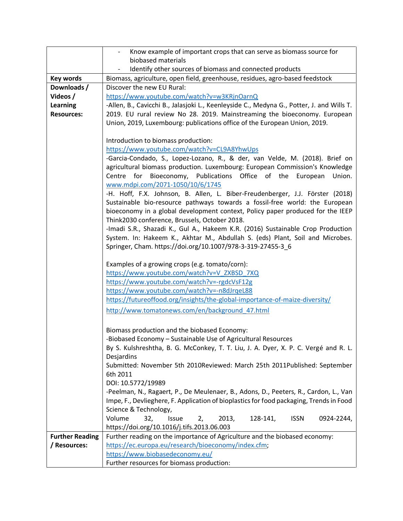|                        | Know example of important crops that can serve as biomass source for                                                                                         |
|------------------------|--------------------------------------------------------------------------------------------------------------------------------------------------------------|
|                        | biobased materials                                                                                                                                           |
|                        | Identify other sources of biomass and connected products                                                                                                     |
| Key words              | Biomass, agriculture, open field, greenhouse, residues, agro-based feedstock                                                                                 |
| Downloads /            | Discover the new EU Rural:                                                                                                                                   |
| Videos /               | https://www.youtube.com/watch?v=w3KRjnOarnQ                                                                                                                  |
| <b>Learning</b>        | -Allen, B., Cavicchi B., Jalasjoki L., Keenleyside C., Medyna G., Potter, J. and Wills T.                                                                    |
| <b>Resources:</b>      | 2019. EU rural review No 28. 2019. Mainstreaming the bioeconomy. European                                                                                    |
|                        | Union, 2019, Luxembourg: publications office of the European Union, 2019.                                                                                    |
|                        |                                                                                                                                                              |
|                        | Introduction to biomass production:                                                                                                                          |
|                        | https://www.youtube.com/watch?v=CL9A8YhwUps                                                                                                                  |
|                        | -Garcia-Condado, S., Lopez-Lozano, R., & der, van Velde, M. (2018). Brief on<br>agricultural biomass production. Luxembourg: European Commission's Knowledge |
|                        | Centre for Bioeconomy, Publications Office of the European<br>Union.                                                                                         |
|                        | www.mdpi.com/2071-1050/10/6/1745                                                                                                                             |
|                        | -H. Hoff, F.X. Johnson, B. Allen, L. Biber-Freudenberger, J.J. Förster (2018)                                                                                |
|                        | Sustainable bio-resource pathways towards a fossil-free world: the European                                                                                  |
|                        | bioeconomy in a global development context, Policy paper produced for the IEEP                                                                               |
|                        | Think2030 conference, Brussels, October 2018.                                                                                                                |
|                        | -Imadi S.R., Shazadi K., Gul A., Hakeem K.R. (2016) Sustainable Crop Production                                                                              |
|                        | System. In: Hakeem K., Akhtar M., Abdullah S. (eds) Plant, Soil and Microbes.                                                                                |
|                        | Springer, Cham. https://doi.org/10.1007/978-3-319-27455-3_6                                                                                                  |
|                        |                                                                                                                                                              |
|                        | Examples of a growing crops (e.g. tomato/corn):                                                                                                              |
|                        | https://www.youtube.com/watch?v=V_ZXBSD_7XQ                                                                                                                  |
|                        | https://www.youtube.com/watch?v=-rgdcVsF12g<br>https://www.youtube.com/watch?v=-n8dJrqeL88                                                                   |
|                        | https://futureoffood.org/insights/the-global-importance-of-maize-diversity/                                                                                  |
|                        | http://www.tomatonews.com/en/background 47.html                                                                                                              |
|                        |                                                                                                                                                              |
|                        | Biomass production and the biobased Economy:                                                                                                                 |
|                        | -Biobased Economy - Sustainable Use of Agricultural Resources                                                                                                |
|                        | By S. Kulshreshtha, B. G. McConkey, T. T. Liu, J. A. Dyer, X. P. C. Vergé and R. L.                                                                          |
|                        | Desjardins                                                                                                                                                   |
|                        | Submitted: November 5th 2010Reviewed: March 25th 2011Published: September                                                                                    |
|                        | 6th 2011                                                                                                                                                     |
|                        | DOI: 10.5772/19989                                                                                                                                           |
|                        | -Peelman, N., Ragaert, P., De Meulenaer, B., Adons, D., Peeters, R., Cardon, L., Van                                                                         |
|                        | Impe, F., Devlieghere, F. Application of bioplastics for food packaging, Trends in Food                                                                      |
|                        | Science & Technology,                                                                                                                                        |
|                        | Volume<br>32,<br>128-141,<br>0924-2244,<br>Issue<br>2013,<br><b>ISSN</b><br>2,                                                                               |
|                        | https://doi.org/10.1016/j.tifs.2013.06.003                                                                                                                   |
| <b>Further Reading</b> | Further reading on the importance of Agriculture and the biobased economy:                                                                                   |
| / Resources:           | https://ec.europa.eu/research/bioeconomy/index.cfm;                                                                                                          |
|                        | https://www.biobasedeconomy.eu/                                                                                                                              |
|                        | Further resources for biomass production:                                                                                                                    |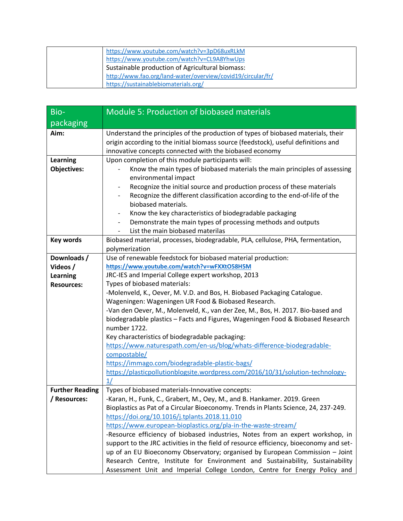| https://www.youtube.com/watch?v=3pD68uxRLkM<br>https://www.youtube.com/watch?v=CL9A8YhwUps |
|--------------------------------------------------------------------------------------------|
| Sustainable production of Agricultural biomass:                                            |
| http://www.fao.org/land-water/overview/covid19/circular/fr/                                |
| https://sustainablebiomaterials.org/                                                       |

| $Bio-$                 | Module 5: Production of biobased materials                                                                                                                                                                                         |
|------------------------|------------------------------------------------------------------------------------------------------------------------------------------------------------------------------------------------------------------------------------|
| packaging              |                                                                                                                                                                                                                                    |
| Aim:                   | Understand the principles of the production of types of biobased materials, their<br>origin according to the initial biomass source (feedstock), useful definitions and<br>innovative concepts connected with the biobased economy |
| <b>Learning</b>        | Upon completion of this module participants will:                                                                                                                                                                                  |
| <b>Objectives:</b>     | Know the main types of biobased materials the main principles of assessing<br>environmental impact                                                                                                                                 |
|                        | Recognize the initial source and production process of these materials<br>$\qquad \qquad \blacksquare$                                                                                                                             |
|                        | Recognize the different classification according to the end-of-life of the                                                                                                                                                         |
|                        | biobased materials.                                                                                                                                                                                                                |
|                        | Know the key characteristics of biodegradable packaging<br>$\overline{\phantom{a}}$                                                                                                                                                |
|                        | Demonstrate the main types of processing methods and outputs<br>$\overline{\phantom{a}}$                                                                                                                                           |
|                        | List the main biobased materilas                                                                                                                                                                                                   |
| <b>Key words</b>       | Biobased material, processes, biodegradable, PLA, cellulose, PHA, fermentation,                                                                                                                                                    |
| Downloads /            | polymerization<br>Use of renewable feedstock for biobased material production:                                                                                                                                                     |
| Videos /               | https://www.youtube.com/watch?v=wFXXtO58H5M                                                                                                                                                                                        |
| <b>Learning</b>        | JRC-IES and Imperial College expert workshop, 2013                                                                                                                                                                                 |
| <b>Resources:</b>      | Types of biobased materials:                                                                                                                                                                                                       |
|                        | -Molenveld, K., Oever, M. V.D. and Bos, H. Biobased Packaging Catalogue.                                                                                                                                                           |
|                        | Wageningen: Wageningen UR Food & Biobased Research.                                                                                                                                                                                |
|                        | -Van den Oever, M., Molenveld, K., van der Zee, M., Bos, H. 2017. Bio-based and                                                                                                                                                    |
|                        | biodegradable plastics - Facts and Figures, Wageningen Food & Biobased Research                                                                                                                                                    |
|                        | number 1722.                                                                                                                                                                                                                       |
|                        | Key characteristics of biodegradable packaging:                                                                                                                                                                                    |
|                        | https://www.naturespath.com/en-us/blog/whats-difference-biodegradable-                                                                                                                                                             |
|                        | compostable/                                                                                                                                                                                                                       |
|                        | https://immago.com/biodegradable-plastic-bags/                                                                                                                                                                                     |
|                        | https://plasticpollutionblogsite.wordpress.com/2016/10/31/solution-technology-<br>1/                                                                                                                                               |
| <b>Further Reading</b> | Types of biobased materials-Innovative concepts:                                                                                                                                                                                   |
| / Resources:           | -Karan, H., Funk, C., Grabert, M., Oey, M., and B. Hankamer. 2019. Green                                                                                                                                                           |
|                        | Bioplastics as Pat of a Circular Bioeconomy. Trends in Plants Science, 24, 237-249.                                                                                                                                                |
|                        | https://doi.org/10.1016/j.tplants.2018.11.010                                                                                                                                                                                      |
|                        | https://www.european-bioplastics.org/pla-in-the-waste-stream/                                                                                                                                                                      |
|                        | -Resource efficiency of biobased industries, Notes from an expert workshop, in                                                                                                                                                     |
|                        | support to the JRC activities in the field of resource efficiency, bioeconomy and set-                                                                                                                                             |
|                        | up of an EU Bioeconomy Observatory; organised by European Commission - Joint                                                                                                                                                       |
|                        | Research Centre, Institute for Environment and Sustainability, Sustainability                                                                                                                                                      |
|                        | Assessment Unit and Imperial College London, Centre for Energy Policy and                                                                                                                                                          |